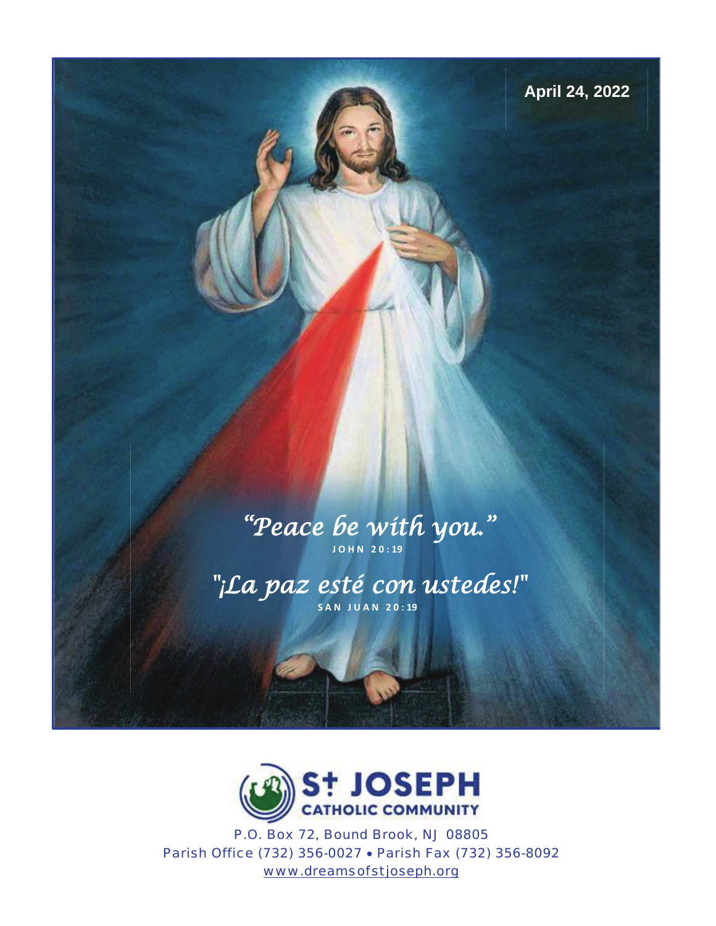

# "Peace be with you. " **J O H N 2 0 : 19**

"¡La paz esté con ustedes!" **S A N J U A N 2 0 : 19**



P.O. Box 72, Bound Brook, NJ 08805 Parish Office (732) 356-0027 · Parish Fax (732) 356-8092 www.dreamsofstjoseph.org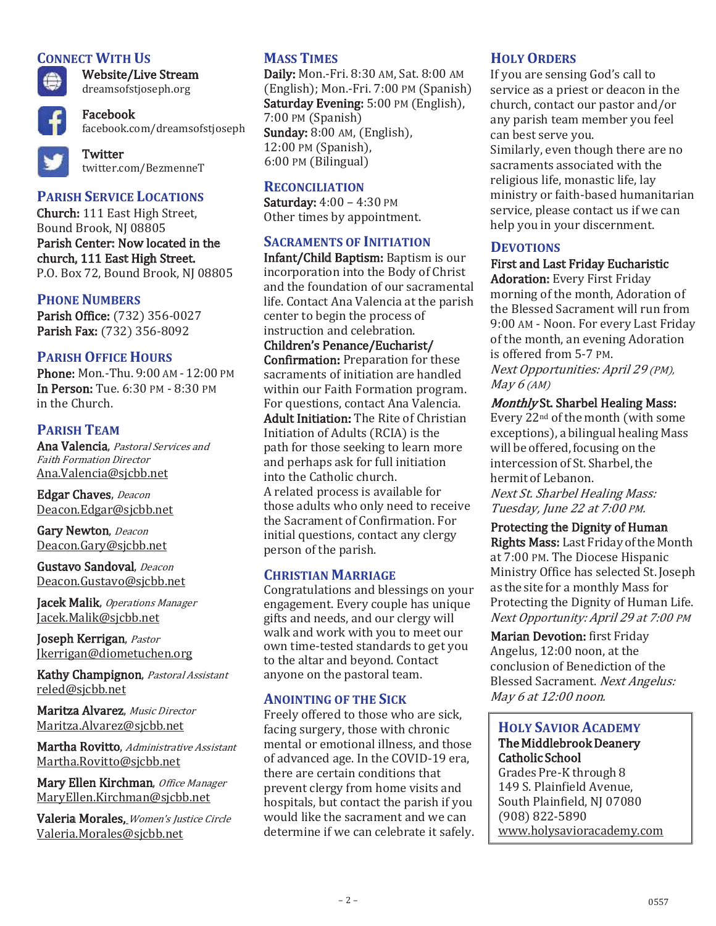## **CONNECT WITH US**



Website/Live Stream dreamsofstjoseph.org

Facebook facebook.com/dreamsofstjoseph



**Twitter** twitter.com/BezmenneT

# **PARISH SERVICE LOCATIONS**

Church: 111 East High Street, Bound Brook, NJ 08805 Parish Center: Now located in the church, 111 East High Street. P.O. Box 72, Bound Brook, NJ 08805

### **PHONE NUMBERS**

Parish Office: (732) 356-0027 Parish Fax: (732) 356-8092

# **PARISH OFFICE HOURS**

Phone: Mon.-Thu. 9:00 AM - 12:00 PM In Person: Tue. 6:30 PM - 8:30 PM in the Church.

### **PARISH TEAM**

Ana Valencia, Pastoral Services and Faith Formation Director Ana.Valencia@sjcbb.net

Edgar Chaves, Deacon Deacon.Edgar@sjcbb.net

Gary Newton, Deacon Deacon.Gary@sjcbb.net

Gustavo Sandoval, Deacon Deacon.Gustavo@sjcbb.net

Jacek Malik, Operations Manager Jacek.Malik@sjcbb.net

Joseph Kerrigan, Pastor Jkerrigan@diometuchen.org

Kathy Champignon, Pastoral Assistant reled@sjcbb.net

Maritza Alvarez, Music Director Maritza.Alvarez@sjcbb.net

Martha Rovitto, Administrative Assistant Martha.Rovitto@sjcbb.net

Mary Ellen Kirchman, Office Manager MaryEllen.Kirchman@sjcbb.net

Valeria Morales, Women's Justice Circle Valeria.Morales@sjcbb.net

# **MASS TIMES**

Daily: Mon.-Fri. 8:30 AM, Sat. 8:00 AM (English); Mon.-Fri. 7:00 PM (Spanish) Saturday Evening: 5:00 PM (English), 7:00 PM (Spanish) Sunday: 8:00 AM, (English), 12:00 PM (Spanish), 6:00 PM (Bilingual)

### **RECONCILIATION**

Saturday: 4:00 – 4:30 PM Other times by appointment.

### **SACRAMENTS OF INITIATION**

Infant/Child Baptism: Baptism is our incorporation into the Body of Christ and the foundation of our sacramental life. Contact Ana Valencia at the parish center to begin the process of instruction and celebration.

Children's Penance/Eucharist/ Confirmation: Preparation for these sacraments of initiation are handled within our Faith Formation program. For questions, contact Ana Valencia. Adult Initiation: The Rite of Christian Initiation of Adults (RCIA) is the path for those seeking to learn more and perhaps ask for full initiation into the Catholic church. A related process is available for those adults who only need to receive the Sacrament of Confirmation. For initial questions, contact any clergy person of the parish.

#### **CHRISTIAN MARRIAGE**

Congratulations and blessings on your engagement. Every couple has unique gifts and needs, and our clergy will walk and work with you to meet our own time-tested standards to get you to the altar and beyond. Contact anyone on the pastoral team.

### **ANOINTING OF THE SICK**

Freely offered to those who are sick, facing surgery, those with chronic mental or emotional illness, and those of advanced age. In the COVID-19 era, there are certain conditions that prevent clergy from home visits and hospitals, but contact the parish if you would like the sacrament and we can determine if we can celebrate it safely.

### **HOLY ORDERS**

If you are sensing God's call to service as a priest or deacon in the church, contact our pastor and/or any parish team member you feel can best serve you.

Similarly, even though there are no sacraments associated with the religious life, monastic life, lay ministry or faith-based humanitarian service, please contact us if we can help you in your discernment.

### **DEVOTIONS**

### First and Last Friday Eucharistic

Adoration: Every First Friday morning of the month, Adoration of the Blessed Sacrament will run from 9:00 AM - Noon. For every Last Friday of the month, an evening Adoration is offered from 5-7 PM. Next Opportunities: April 29 (PM), May  $6$  (AM)

### Monthly St. Sharbel Healing Mass:

Every 22nd of the month (with some exceptions), a bilingual healing Mass will be offered, focusing on the intercession of St. Sharbel, the hermit of Lebanon. Next St. Sharbel Healing Mass: Tuesday, June 22 at 7:00 PM.

### Protecting the Dignity of Human

Rights Mass: Last Friday of the Month at 7:00 PM. The Diocese Hispanic Ministry Office has selected St. Joseph as the site for a monthly Mass for Protecting the Dignity of Human Life. Next Opportunity: April 29 at 7:00 PM

Marian Devotion: first Friday Angelus, 12:00 noon, at the conclusion of Benediction of the Blessed Sacrament. Next Angelus: May 6 at 12:00 noon.

### **HOLY SAVIOR ACADEMY** The Middlebrook Deanery Catholic School

Grades Pre-K through 8 149 S. Plainfield Avenue, South Plainfield, NJ 07080 (908) 822-5890 www.holysavioracademy.com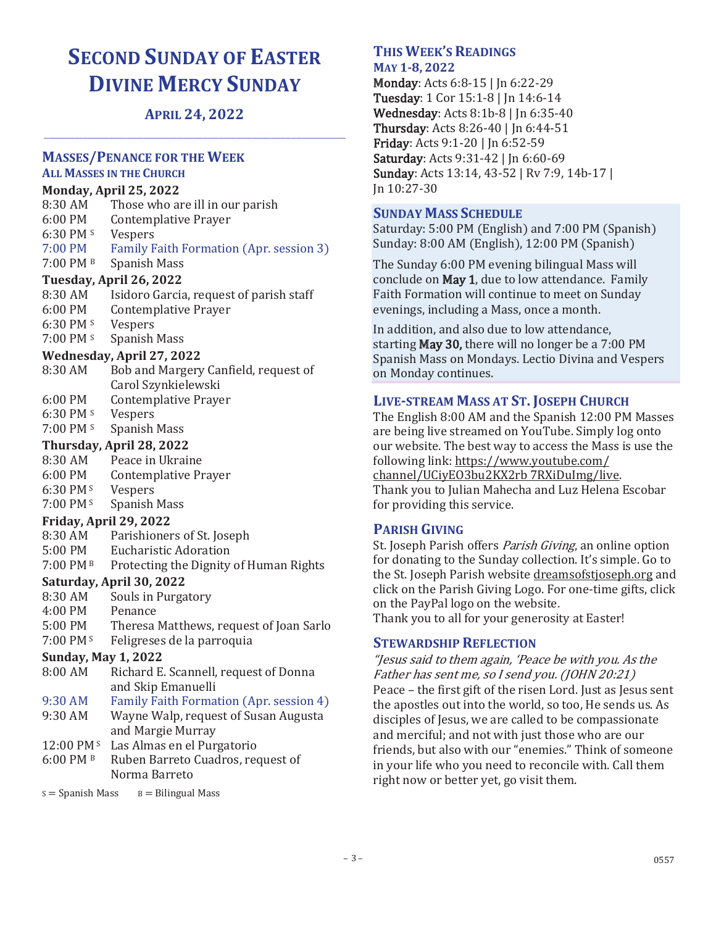# **SECOND SUNDAY OF EASTER DIVINE MERCY SUNDAY**

# **APRIL 24, 2022 \_\_\_\_\_\_\_\_\_\_\_\_\_\_\_\_\_\_\_\_\_\_\_\_\_\_\_\_\_\_\_\_\_\_\_\_\_\_\_\_\_\_\_\_\_\_\_\_\_\_\_\_\_\_\_\_\_\_\_\_\_\_\_\_\_\_\_\_\_\_\_\_\_\_\_\_\_\_\_\_\_\_\_\_\_\_\_\_\_\_\_\_\_\_\_\_\_\_\_\_\_\_\_\_\_\_\_\_\_\_\_\_\_\_\_\_**

#### **MASSES/PENANCE FOR THE WEEK**

### **ALL MASSES IN THE CHURCH**

#### **Monday, April 25, 2022**

| 8:30 AM           | Those who are ill in our parish         |
|-------------------|-----------------------------------------|
| $6:00$ PM         | Contemplative Prayer                    |
| 6:30 PM $s$       | <b>Vespers</b>                          |
| $7:00 \text{ PM}$ | Family Faith Formation (Apr. session 3) |
| 7:00 PM B         | Spanish Mass                            |

### **Tuesday, April 26, 2022**

8:30 AM Isidoro Garcia, request of parish staff 6:00 PM Contemplative Prayer 6:30 PM S Vespers 7:00 PM <sup>s</sup> Spanish Mass

#### **Wednesday, April 27, 2022**

- 8:30 AM Bob and Margery Canfield, request of Carol Szynkielewski 6:00 PM Contemplative Prayer
- 6:30 PM S Vespers
- 7:00 PM <sup>s</sup> Spanish Mass

### **Thursday, April 28, 2022**

- 8:30 AM Peace in Ukraine
- 6:00 PM Contemplative Prayer
- 6:30 PM S Vespers
- 7:00 PM<sup>s</sup> Spanish Mass

### **Friday, April 29, 2022**

- 8:30 AM Parishioners of St. Joseph
- 5:00 PM Eucharistic Adoration
- 7:00 PM B Protecting the Dignity of Human Rights

### **Saturday, April 30, 2022**

- 8:30 AM Souls in Purgatory
- 4:00 PM Penance
- 5:00 PM Theresa Matthews, request of Joan Sarlo
- 7:00 PM S Feligreses de la parroquia

# **Sunday, May 1, 2022**

8:00 AM Richard E. Scannell, request of Donna and Skip Emanuelli 9:30 AM Family Faith Formation (Apr. session 4) 9:30 AM Wayne Walp, request of Susan Augusta and Margie Murray 12:00 PM S Las Almas en el Purgatorio 6:00 PM B Ruben Barreto Cuadros, request of Norma Barreto  $S =$  Spanish Mass  $B =$  Bilingual Mass

### **THIS WEEK'S READINGS MAY 1-8, 2022**

Monday: Acts 6:8-15 | Jn 6:22-29 Tuesday: 1 Cor 15:1-8 | Jn 14:6-14 Wednesday: Acts 8:1b-8 | Jn 6:35-40 Thursday: Acts 8:26-40 | Jn 6:44-51 Friday: Acts 9:1-20 | Jn 6:52-59 Saturday: Acts 9:31-42 | Jn 6:60-69 Sunday: Acts 13:14, 43-52 | Rv 7:9, 14b-17 | Jn 10:27-30

### **SUNDAY MASS SCHEDULE**

Saturday: 5:00 PM (English) and 7:00 PM (Spanish) Sunday: 8:00 AM (English), 12:00 PM (Spanish)

The Sunday 6:00 PM evening bilingual Mass will conclude on May 1, due to low attendance. Family Faith Formation will continue to meet on Sunday evenings, including a Mass, once a month.

In addition, and also due to low attendance, starting May 30, there will no longer be a 7:00 PM Spanish Mass on Mondays. Lectio Divina and Vespers on Monday continues.

### **LIVE-STREAM MASS AT ST. JOSEPH CHURCH**

The English 8:00 AM and the Spanish 12:00 PM Masses are being live streamed on YouTube. Simply log onto our website. The best way to access the Mass is use the following link: https://www.youtube.com/ channel/UCiyEO3bu2KX2rb 7RXiDuImg/live. Thank you to Julian Mahecha and Luz Helena Escobar for providing this service.

# **PARISH GIVING**

St. Joseph Parish offers *Parish Giving*, an online option for donating to the Sunday collection. It's simple. Go to the St. Joseph Parish website dreamsofstjoseph.org and click on the Parish Giving Logo. For one-time gifts, click on the PayPal logo on the website. Thank you to all for your generosity at Easter!

### **STEWARDSHIP REFLECTION**

"Jesus said to them again, 'Peace be with you. As the Father has sent me, so I send you. (JOHN 20:21) Peace – the first gift of the risen Lord. Just as Jesus sent the apostles out into the world, so too, He sends us. As disciples of Jesus, we are called to be compassionate and merciful; and not with just those who are our friends, but also with our "enemies." Think of someone in your life who you need to reconcile with. Call them right now or better yet, go visit them.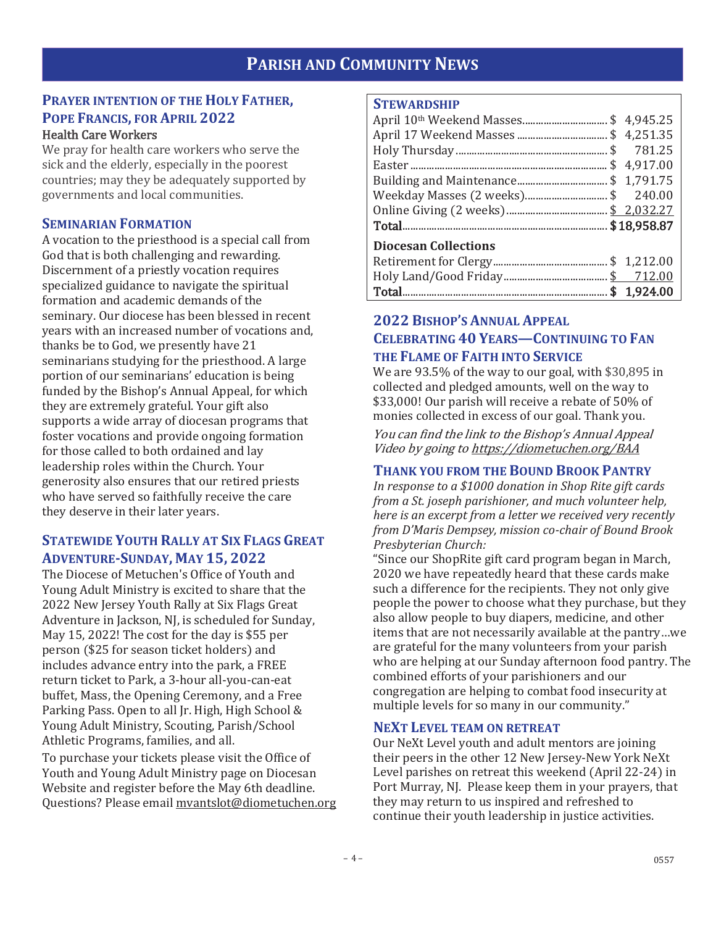# **PARISH AND COMMUNITY NEWS**

# **PRAYER INTENTION OF THE HOLY FATHER, POPE FRANCIS, FOR APRIL 2022**

### Health Care Workers

We pray for health care workers who serve the sick and the elderly, especially in the poorest countries; may they be adequately supported by governments and local communities.

### **SEMINARIAN FORMATION**

A vocation to the priesthood is a special call from God that is both challenging and rewarding. Discernment of a priestly vocation requires specialized guidance to navigate the spiritual formation and academic demands of the seminary. Our diocese has been blessed in recent years with an increased number of vocations and, thanks be to God, we presently have 21 seminarians studying for the priesthood. A large portion of our seminarians' education is being funded by the Bishop's Annual Appeal, for which they are extremely grateful. Your gift also supports a wide array of diocesan programs that foster vocations and provide ongoing formation for those called to both ordained and lay leadership roles within the Church. Your generosity also ensures that our retired priests who have served so faithfully receive the care they deserve in their later years.

# **STATEWIDE YOUTH RALLY AT SIX FLAGS GREAT ADVENTURE-SUNDAY, MAY 15, 2022**

The Diocese of Metuchen's Office of Youth and Young Adult Ministry is excited to share that the 2022 New Jersey Youth Rally at Six Flags Great Adventure in Jackson, NJ, is scheduled for Sunday, May 15, 2022! The cost for the day is \$55 per person (\$25 for season ticket holders) and includes advance entry into the park, a FREE return ticket to Park, a 3-hour all-you-can-eat buffet, Mass, the Opening Ceremony, and a Free Parking Pass. Open to all Jr. High, High School & Young Adult Ministry, Scouting, Parish/School Athletic Programs, families, and all.

To purchase your tickets please visit the Office of Youth and Young Adult Ministry page on Diocesan Website and register before the May 6th deadline. Questions? Please email mvantslot@diometuchen.org

### **STEWARDSHIP**

| Weekday Masses (2 weeks) \$240.00 |  |
|-----------------------------------|--|
|                                   |  |
|                                   |  |
| <b>Diocesan Collections</b>       |  |
|                                   |  |
|                                   |  |
|                                   |  |

# **2022 BISHOP'S ANNUAL APPEAL CELEBRATING 40 YEARS—CONTINUING TO FAN THE FLAME OF FAITH INTO SERVICE**

We are 93.5% of the way to our goal, with \$30,895 in collected and pledged amounts, well on the way to \$33,000! Our parish will receive a rebate of 50% of monies collected in excess of our goal. Thank you.

You can find the link to the Bishop's Annual Appeal Video by going to https://diometuchen.org/BAA

### **THANK YOU FROM THE BOUND BROOK PANTRY**

*In response to a \$1000 donation in Shop Rite gift cards from a St. joseph parishioner, and much volunteer help, here is an excerpt from a letter we received very recently from D'Maris Dempsey, mission co-chair of Bound Brook Presbyterian Church:* 

"Since our ShopRite gift card program began in March, 2020 we have repeatedly heard that these cards make such a difference for the recipients. They not only give people the power to choose what they purchase, but they also allow people to buy diapers, medicine, and other items that are not necessarily available at the pantry…we are grateful for the many volunteers from your parish who are helping at our Sunday afternoon food pantry. The combined efforts of your parishioners and our congregation are helping to combat food insecurity at multiple levels for so many in our community."

### **NEXT LEVEL TEAM ON RETREAT**

Our NeXt Level youth and adult mentors are joining their peers in the other 12 New Jersey-New York NeXt Level parishes on retreat this weekend (April 22-24) in Port Murray, NJ. Please keep them in your prayers, that they may return to us inspired and refreshed to continue their youth leadership in justice activities.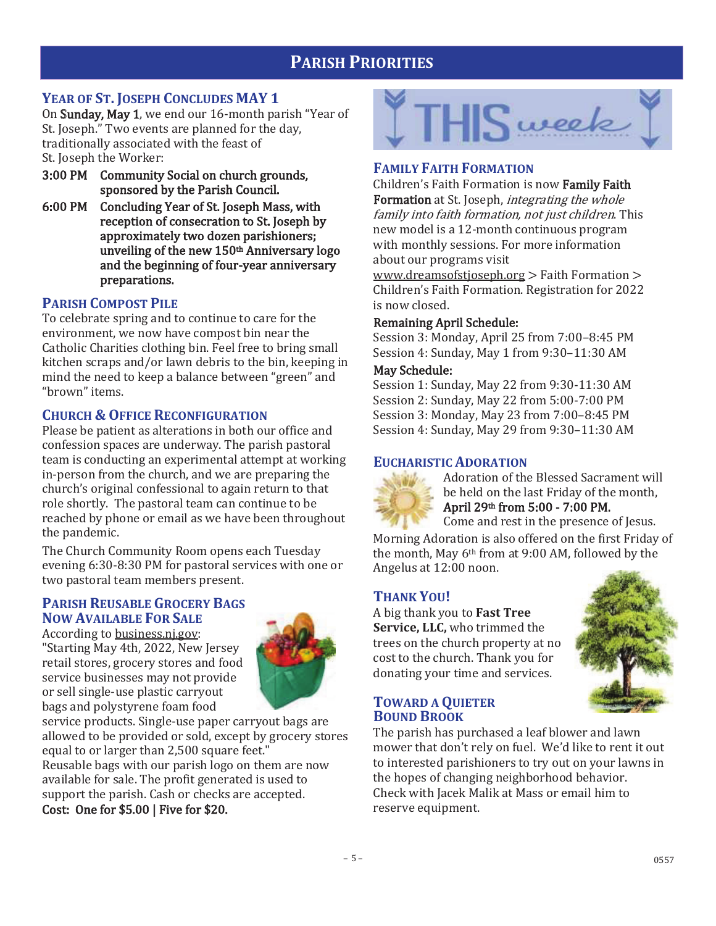# **PARISH PRIORITIES**

# **YEAR OF ST. JOSEPH CONCLUDES MAY 1**

On Sunday, May 1, we end our 16-month parish "Year of St. Joseph." Two events are planned for the day, traditionally associated with the feast of St. Joseph the Worker:

- 3:00 PM Community Social on church grounds, sponsored by the Parish Council.
- 6:00 PM Concluding Year of St. Joseph Mass, with reception of consecration to St. Joseph by approximately two dozen parishioners; unveiling of the new 150th Anniversary logo and the beginning of four-year anniversary preparations.

# **PARISH COMPOST PILE**

To celebrate spring and to continue to care for the environment, we now have compost bin near the Catholic Charities clothing bin. Feel free to bring small kitchen scraps and/or lawn debris to the bin, keeping in mind the need to keep a balance between "green" and "brown" items.

# **CHURCH & OFFICE RECONFIGURATION**

Please be patient as alterations in both our office and confession spaces are underway. The parish pastoral team is conducting an experimental attempt at working in-person from the church, and we are preparing the church's original confessional to again return to that role shortly. The pastoral team can continue to be reached by phone or email as we have been throughout the pandemic.

The Church Community Room opens each Tuesday evening 6:30-8:30 PM for pastoral services with one or two pastoral team members present.

# **PARISH REUSABLE GROCERY BAGS NOW AVAILABLE FOR SALE**

According to business.nj.gov: "Starting May 4th, 2022, New Jersey retail stores, grocery stores and food service businesses may not provide or sell single-use plastic carryout bags and polystyrene foam food



service products. Single-use paper carryout bags are allowed to be provided or sold, except by grocery stores equal to or larger than 2,500 square feet."

Reusable bags with our parish logo on them are now available for sale. The profit generated is used to support the parish. Cash or checks are accepted.

### Cost: One for \$5.00 | Five for \$20.



### **FAMILY FAITH FORMATION**

Children's Faith Formation is now Family Faith Formation at St. Joseph, *integrating the whole* family into faith formation, not just children. This new model is a 12-month continuous program with monthly sessions. For more information about our programs visit

www.dreamsofstjoseph.org > Faith Formation > Children's Faith Formation. Registration for 2022 is now closed.

### Remaining April Schedule:

Session 3: Monday, April 25 from 7:00–8:45 PM Session 4: Sunday, May 1 from 9:30–11:30 AM

### May Schedule:

Session 1: Sunday, May 22 from 9:30-11:30 AM Session 2: Sunday, May 22 from 5:00-7:00 PM Session 3: Monday, May 23 from 7:00–8:45 PM Session 4: Sunday, May 29 from 9:30–11:30 AM

# **EUCHARISTIC ADORATION**



Adoration of the Blessed Sacrament will be held on the last Friday of the month, April 29th from 5:00 - 7:00 PM.

Come and rest in the presence of Jesus.

Morning Adoration is also offered on the first Friday of the month, May 6<sup>th</sup> from at 9:00 AM, followed by the Angelus at 12:00 noon.

# **THANK YOU!**

A big thank you to**Fast Tree Service, LLC,** who trimmed the trees on the church property at no cost to the church. Thank you for donating your time and services.



**TOWARD A QUIETER BOUND BROOK**

The parish has purchased a leaf blower and lawn mower that don't rely on fuel. We'd like to rent it out to interested parishioners to try out on your lawns in the hopes of changing neighborhood behavior. Check with Jacek Malik at Mass or email him to reserve equipment.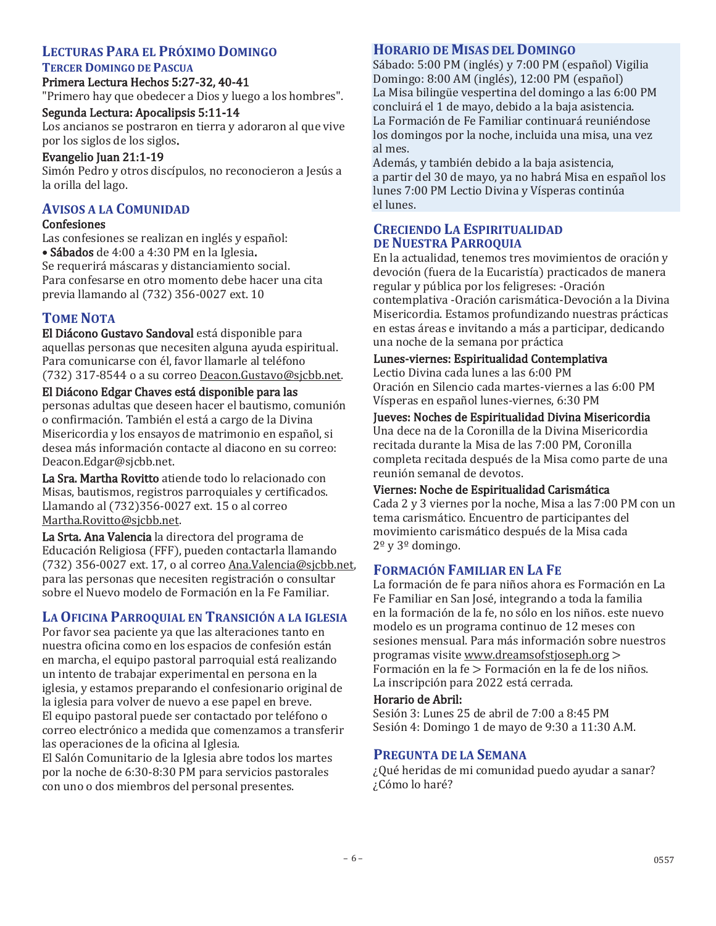# **LECTURAS PARA EL PRÓXIMO DOMINGO**

### **TERCER DOMINGO DE PASCUA**

Primera Lectura Hechos 5:27-32, 40-41 "Primero hay que obedecer a Dios y luego a los hombres".

### Segunda Lectura: Apocalipsis 5:11-14

Los ancianos se postraron en tierra y adoraron al que vive por los siglos de los siglos.

### Evangelio Juan 21:1-19

Simón Pedro y otros discípulos, no reconocieron a Jesús a la orilla del lago.

# **AVISOS A LA COMUNIDAD**

### Confesiones

Las confesiones se realizan en inglés y español: • Sábados de 4:00 a 4:30 PM en la Iglesia. Se requerirá máscaras y distanciamiento social. Para confesarse en otro momento debe hacer una cita previa llamando al (732) 356-0027 ext. 10

# **TOME NOTA**

El Diácono Gustavo Sandoval está disponible para aquellas personas que necesiten alguna ayuda espiritual. Para comunicarse con él, favor llamarle al teléfono (732) 317-8544 o a su correo Deacon.Gustavo@sjcbb.net.

### El Diácono Edgar Chaves está disponible para las

personas adultas que deseen hacer el bautismo, comunión o confirmación. También el está a cargo de la Divina Misericordia y los ensayos de matrimonio en español, si desea más información contacte al diacono en su correo: Deacon.Edgar@sjcbb.net.

La Sra. Martha Rovitto atiende todo lo relacionado con Misas, bautismos, registros parroquiales y certificados. Llamando al (732)356-0027 ext. 15 o al correo Martha.Rovitto@sjcbb.net.

La Srta. Ana Valencia la directora del programa de Educación Religiosa (FFF), pueden contactarla llamando (732) 356-0027 ext. 17, o al correo Ana.Valencia@sjcbb.net, para las personas que necesiten registración o consultar sobre el Nuevo modelo de Formación en la Fe Familiar.

# **LA OFICINA PARROQUIAL EN TRANSICIÓN A LA IGLESIA**

Por favor sea paciente ya que las alteraciones tanto en nuestra oficina como en los espacios de confesión están en marcha, el equipo pastoral parroquial está realizando un intento de trabajar experimental en persona en la iglesia, y estamos preparando el confesionario original de la iglesia para volver de nuevo a ese papel en breve. El equipo pastoral puede ser contactado por teléfono o correo electrónico a medida que comenzamos a transferir las operaciones de la oficina al Iglesia.

El Salón Comunitario de la Iglesia abre todos los martes por la noche de 6:30-8:30 PM para servicios pastorales con uno o dos miembros del personal presentes.

### **HORARIO DE MISAS DEL DOMINGO**

Sábado: 5:00 PM (inglés) y 7:00 PM (español) Vigilia Domingo: 8:00 AM (inglés), 12:00 PM (español) La Misa bilingüe vespertina del domingo a las 6:00 PM concluirá el 1 de mayo, debido a la baja asistencia. La Formación de Fe Familiar continuará reuniéndose los domingos por la noche, incluida una misa, una vez al mes.

Además, y también debido a la baja asistencia, a partir del 30 de mayo, ya no habrá Misa en español los lunes 7:00 PM Lectio Divina y Vísperas continúa el lunes.

### **CRECIENDO LA ESPIRITUALIDAD DE NUESTRA PARROQUIA**

En la actualidad, tenemos tres movimientos de oración y devoción (fuera de la Eucaristía) practicados de manera regular y pública por los feligreses: -Oración contemplativa -Oración carismática-Devoción a la Divina Misericordia. Estamos profundizando nuestras prácticas en estas áreas e invitando a más a participar, dedicando una noche de la semana por práctica

### Lunes-viernes: Espiritualidad Contemplativa

Lectio Divina cada lunes a las 6:00 PM Oración en Silencio cada martes-viernes a las 6:00 PM Vísperas en español lunes-viernes, 6:30 PM

### Jueves: Noches de Espiritualidad Divina Misericordia

Una dece na de la Coronilla de la Divina Misericordia recitada durante la Misa de las 7:00 PM, Coronilla completa recitada después de la Misa como parte de una reunión semanal de devotos.

# Viernes: Noche de Espiritualidad Carismática

Cada 2 y 3 viernes por la noche, Misa a las 7:00 PM con un tema carismático. Encuentro de participantes del movimiento carismático después de la Misa cada  $2^{\circ}$  y  $3^{\circ}$  domingo.

# **FORMACIÓN FAMILIAR EN LA FE**

La formación de fe para niños ahora es Formación en La Fe Familiar en San José, integrando a toda la familia en la formación de la fe, no sólo en los niños. este nuevo modelo es un programa continuo de 12 meses con sesiones mensual. Para más información sobre nuestros programas visite www.dreamsofstjoseph.org > Formación en la fe > Formación en la fe de los niños. La inscripción para 2022 está cerrada.

### Horario de Abril:

Sesión 3: Lunes 25 de abril de 7:00 a 8:45 PM Sesión 4: Domingo 1 de mayo de 9:30 a 11:30 A.M.

### **PREGUNTA DE LA SEMANA**

¿Qué heridas de mi comunidad puedo ayudar a sanar? ¿Cómo lo haré?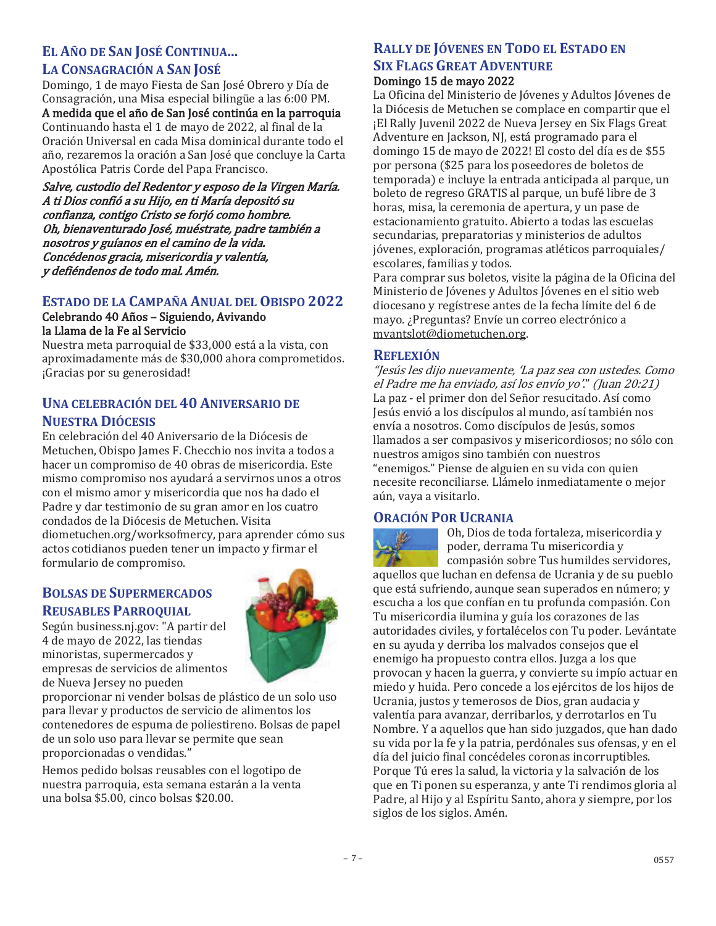# **EL AÑO DE SAN JOSÉ CONTINUA...**

### **LA CONSAGRACIÓN A SAN JOSÉ**

Domingo, 1 de mayo Fiesta de San José Obrero y Día de Consagración, una Misa especial bilingüe a las 6:00 PM.

A medida que el año de San José continúa en la parroquia Continuando hasta el 1 de mayo de 2022, al final de la Oración Universal en cada Misa dominical durante todo el año, rezaremos la oración a San José que concluye la Carta Apostólica Patris Corde del Papa Francisco.

Salve, custodio del Redentor y esposo de la Virgen María. A ti Dios confió a su Hijo, en ti María depositó su confianza, contigo Cristo se forjó como hombre. Oh, bienaventurado José, muéstrate, padre también a nosotros y guíanos en el camino de la vida. Concédenos gracia, misericordia y valentía, y defiéndenos de todo mal. Amén.

### **ESTADO DE LA CAMPAÑA ANUAL DEL OBISPO 2022**

#### Celebrando 40 Años – Siguiendo, Avivando la Llama de la Fe al Servicio

Nuestra meta parroquial de \$33,000 está a la vista, con aproximadamente más de \$30,000 ahora comprometidos. ¡Gracias por su generosidad!

# **UNA CELEBRACIÓN DEL 40 ANIVERSARIO DE NUESTRA DIÓCESIS**

En celebración del 40 Aniversario de la Diócesis de Metuchen, Obispo James F. Checchio nos invita a todos a hacer un compromiso de 40 obras de misericordia. Este mismo compromiso nos ayudará a servirnos unos a otros con el mismo amor y misericordia que nos ha dado el Padre y dar testimonio de su gran amor en los cuatro condados de la Diócesis de Metuchen. Visita diometuchen.org/worksofmercy, para aprender cómo sus actos cotidianos pueden tener un impacto y firmar el formulario de compromiso.

# **BOLSAS DE SUPERMERCADOS REUSABLES PARROQUIAL**

Según business.nj.gov: "A partir del 4 de mayo de 2022, las tiendas minoristas, supermercados y empresas de servicios de alimentos de Nueva Jersey no pueden



proporcionar ni vender bolsas de plástico de un solo uso para llevar y productos de servicio de alimentos los contenedores de espuma de poliestireno. Bolsas de papel de un solo uso para llevar se permite que sean proporcionadas o vendidas."

Hemos pedido bolsas reusables con el logotipo de nuestra parroquia, esta semana estarán a la venta una bolsa \$5.00, cinco bolsas \$20.00.

# **RALLY DE JÓVENES EN TODO EL ESTADO EN SIX FLAGS GREAT ADVENTURE**

### Domingo 15 de mayo 2022

La Oficina del Ministerio de Jóvenes y Adultos Jóvenes de la Diócesis de Metuchen se complace en compartir que el ¡El Rally Juvenil 2022 de Nueva Jersey en Six Flags Great Adventure en Jackson, NJ, está programado para el domingo 15 de mayo de 2022! El costo del día es de \$55 por persona (\$25 para los poseedores de boletos de temporada) e incluye la entrada anticipada al parque, un boleto de regreso GRATIS al parque, un bufé libre de 3 horas, misa, la ceremonia de apertura, y un pase de estacionamiento gratuito. Abierto a todas las escuelas secundarias, preparatorias y ministerios de adultos jóvenes, exploración, programas atléticos parroquiales/ escolares, familias y todos.

Para comprar sus boletos, visite la página de la Oficina del Ministerio de Jóvenes y Adultos Jóvenes en el sitio web diocesano y regístrese antes de la fecha límite del 6 de mayo. ¿Preguntas? Envíe un correo electrónico a mvantslot@diometuchen.org.

# **REFLEXIÓN**

"Jesús les dijo nuevamente, 'La paz sea con ustedes. Como el Padre me ha enviado, así los envío yo'." (Juan 20:21) La paz - el primer don del Señor resucitado. Así como Jesús envió a los discípulos al mundo, así también nos envía a nosotros. Como discípulos de Jesús, somos llamados a ser compasivos y misericordiosos; no sólo con nuestros amigos sino también con nuestros "enemigos." Piense de alguien en su vida con quien necesite reconciliarse. Llámelo inmediatamente o mejor aún, vaya a visitarlo.

# **ORACIÓN POR UCRANIA**



Oh, Dios de toda fortaleza, misericordia y poder, derrama Tu misericordia y compasión sobre Tus humildes servidores,

aquellos que luchan en defensa de Ucrania y de su pueblo que está sufriendo, aunque sean superados en número; y escucha a los que confían en tu profunda compasión. Con Tu misericordia ilumina y guía los corazones de las autoridades civiles, y fortalécelos con Tu poder. Levántate en su ayuda y derriba los malvados consejos que el enemigo ha propuesto contra ellos. Juzga a los que provocan y hacen la guerra, y convierte su impío actuar en miedo y huida. Pero concede a los ejércitos de los hijos de Ucrania, justos y temerosos de Dios, gran audacia y valentía para avanzar, derribarlos, y derrotarlos en Tu Nombre. Y a aquellos que han sido juzgados, que han dado su vida por la fe y la patria, perdónales sus ofensas, y en el día del juicio final concédeles coronas incorruptibles. Porque Tú eres la salud, la victoria y la salvación de los que en Ti ponen su esperanza, y ante Ti rendimos gloria al Padre, al Hijo y al Espíritu Santo, ahora y siempre, por los siglos de los siglos. Amén.